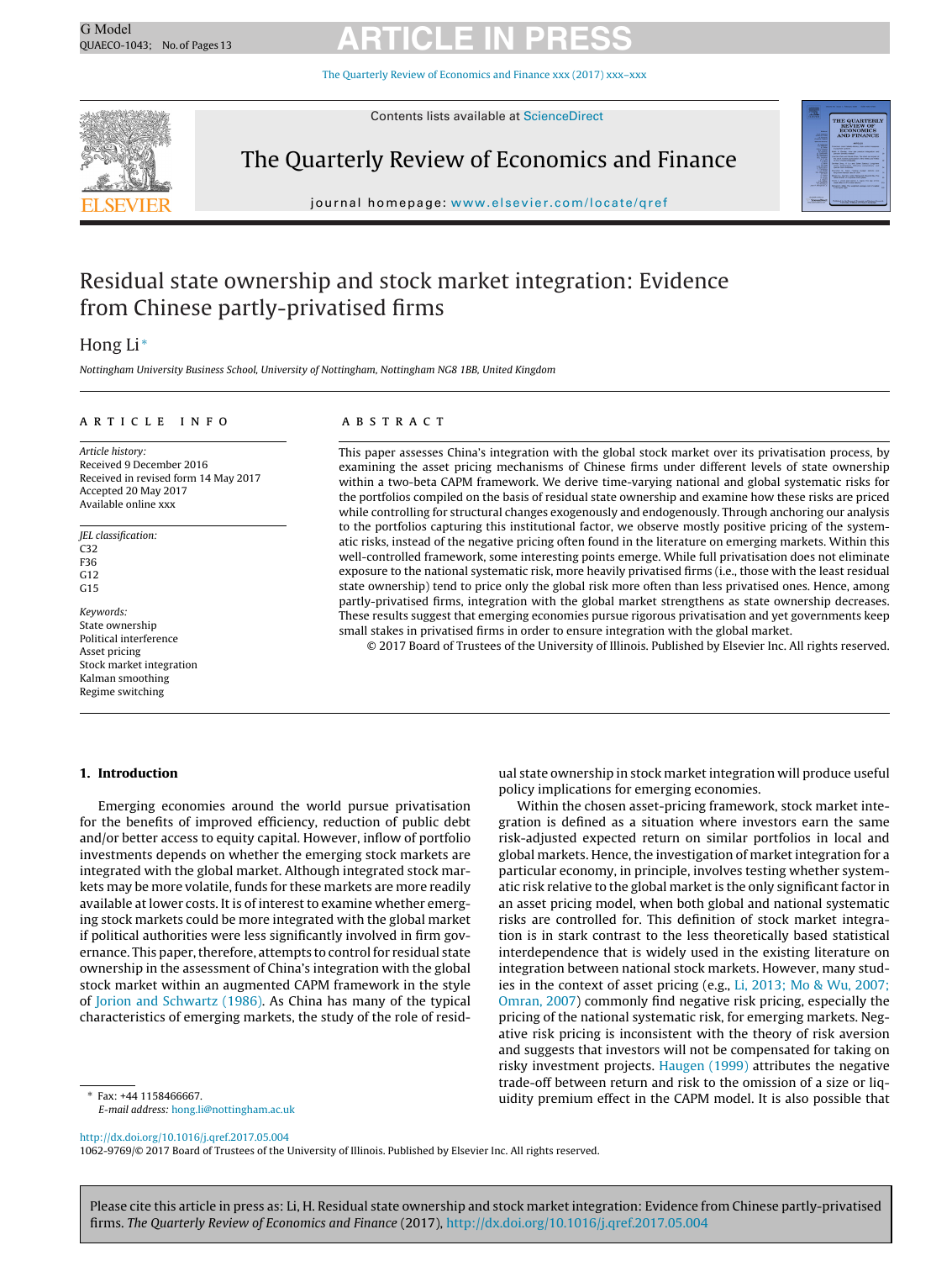# G Model GANORE SOLO ARTICLE IN PRESS

The Quarterly Review of [Economics](dx.doi.org/10.1016/j.qref.2017.05.004) and Finance xxx (2017) xxx–xxx



Contents lists available at [ScienceDirect](http://www.sciencedirect.com/science/journal/10629769)

## The Quarterly Review of Economics and Finance



journal homepage: [www.elsevier.com/locate/qref](http://www.elsevier.com/locate/qref)

### Residual state ownership and stock market integration: Evidence from Chinese partly-privatised firms

### Hong Li<sup>\*</sup>

Nottingham University Business School, University of Nottingham, Nottingham NG8 1BB, United Kingdom

#### ARTICLE INFO

Article history: Received 9 December 2016 Received in revised form 14 May 2017 Accepted 20 May 2017 Available online xxx

JEL classification: C32 F36  $G12$ G15

Keywords: State ownership Political interference Asset pricing Stock market integration Kalman smoothing Regime switching

#### a b s t r a c t

This paper assesses China's integration with the global stock market over its privatisation process, by examining the asset pricing mechanisms of Chinese firms under different levels of state ownership within a two-beta CAPM framework. We derive time-varying national and global systematic risks for the portfolios compiled on the basis of residual state ownership and examine how these risks are priced while controlling for structural changes exogenously and endogenously. Through anchoring our analysis to the portfolios capturing this institutional factor, we observe mostly positive pricing of the systematic risks, instead of the negative pricing often found in the literature on emerging markets. Within this well-controlled framework, some interesting points emerge. While full privatisation does not eliminate exposure to the national systematic risk, more heavily privatised firms (i.e., those with the least residual state ownership) tend to price only the global risk more often than less privatised ones. Hence, among partly-privatised firms, integration with the global market strengthens as state ownership decreases. These results suggest that emerging economies pursue rigorous privatisation and yet governments keep small stakes in privatised firms in order to ensure integration with the global market.

© 2017 Board of Trustees of the University of Illinois. Published by Elsevier Inc. All rights reserved.

#### **1. Introduction**

Emerging economies around the world pursue privatisation for the benefits of improved efficiency, reduction of public debt and/or better access to equity capital. However, inflow of portfolio investments depends on whether the emerging stock markets are integrated with the global market. Although integrated stock markets may be more volatile, funds for these markets are more readily available at lower costs. It is of interest to examine whether emerging stock markets could be more integrated with the global market if political authorities were less significantly involved in firm governance. This paper, therefore, attempts to control for residual state ownership in the assessment of China's integration with the global stock market within an augmented CAPM framework in the style of [Jorion](#page--1-0) [and](#page--1-0) [Schwartz](#page--1-0) [\(1986\).](#page--1-0) As China has many of the typical characteristics of emerging markets, the study of the role of resid-

∗ Fax: +44 1158466667. E-mail address: [hong.li@nottingham.ac.uk](mailto:hong.li@nottingham.ac.uk)

#### [http://dx.doi.org/10.1016/j.qref.2017.05.004](dx.doi.org/10.1016/j.qref.2017.05.004)

1062-9769/© 2017 Board of Trustees of the University of Illinois. Published by Elsevier Inc. All rights reserved.

ual state ownership in stock market integration will produce useful policy implications for emerging economies.

Within the chosen asset-pricing framework, stock market integration is defined as a situation where investors earn the same risk-adjusted expected return on similar portfolios in local and global markets. Hence, the investigation of market integration for a particular economy, in principle, involves testing whether systematic risk relative to the global market is the only significant factor in an asset pricing model, when both global and national systematic risks are controlled for. This definition of stock market integration is in stark contrast to the less theoretically based statistical interdependence that is widely used in the existing literature on integration between national stock markets. However, many studies in the context of asset pricing (e.g., [Li,](#page--1-0) [2013;](#page--1-0) [Mo](#page--1-0) [&](#page--1-0) [Wu,](#page--1-0) [2007;](#page--1-0) [Omran,](#page--1-0) [2007\)](#page--1-0) commonly find negative risk pricing, especially the pricing of the national systematic risk, for emerging markets. Negative risk pricing is inconsistent with the theory of risk aversion and suggests that investors will not be compensated for taking on risky investment projects. [Haugen](#page--1-0) [\(1999\)](#page--1-0) attributes the negative trade-off between return and risk to the omission of a size or liquidity premium effect in the CAPM model. It is also possible that

Please cite this article in press as: Li, H. Residual state ownership and stock market integration: Evidence from Chinese partly-privatised firms. The Quarterly Review of Economics and Finance (2017), [http://dx.doi.org/10.1016/j.qref.2017.05.004](dx.doi.org/10.1016/j.qref.2017.05.004)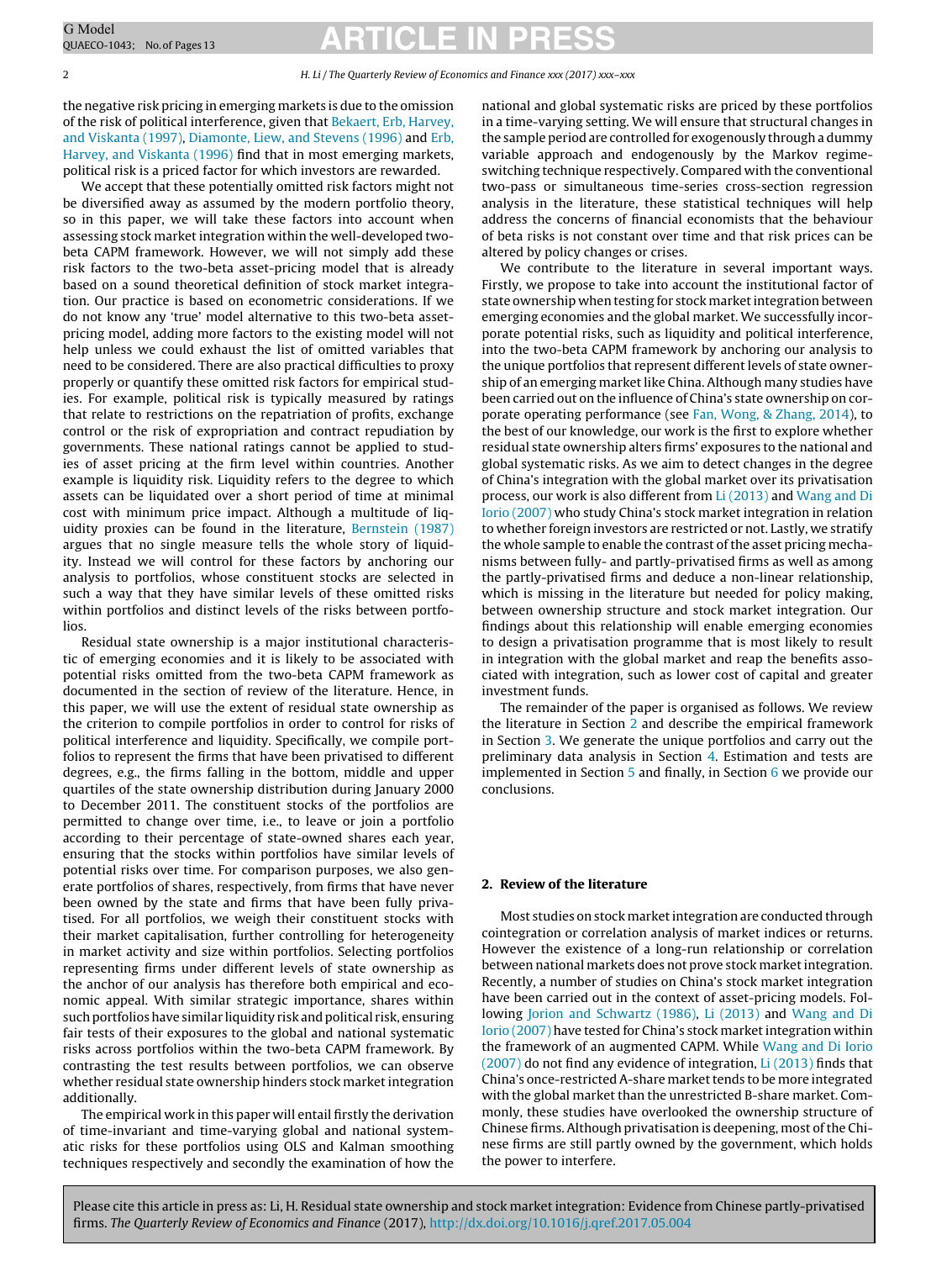## G Model GOMOdel **ARTICLE IN PRESS**

the negative risk pricing in emerging markets is due to the omission of the risk of political interference, given that [Bekaert,](#page--1-0) [Erb,](#page--1-0) [Harvey,](#page--1-0) [and](#page--1-0) [Viskanta](#page--1-0) [\(1997\),](#page--1-0) [Diamonte,](#page--1-0) [Liew,](#page--1-0) [and](#page--1-0) [Stevens](#page--1-0) [\(1996\)](#page--1-0) and [Erb,](#page--1-0) [Harvey,](#page--1-0) [and](#page--1-0) [Viskanta](#page--1-0) [\(1996\)](#page--1-0) find that in most emerging markets, political risk is a priced factor for which investors are rewarded.

We accept that these potentially omitted risk factors might not be diversified away as assumed by the modern portfolio theory, so in this paper, we will take these factors into account when assessing stock market integration within the well-developed twobeta CAPM framework. However, we will not simply add these risk factors to the two-beta asset-pricing model that is already based on a sound theoretical definition of stock market integration. Our practice is based on econometric considerations. If we do not know any 'true' model alternative to this two-beta assetpricing model, adding more factors to the existing model will not help unless we could exhaust the list of omitted variables that need to be considered. There are also practical difficulties to proxy properly or quantify these omitted risk factors for empirical studies. For example, political risk is typically measured by ratings that relate to restrictions on the repatriation of profits, exchange control or the risk of expropriation and contract repudiation by governments. These national ratings cannot be applied to studies of asset pricing at the firm level within countries. Another example is liquidity risk. Liquidity refers to the degree to which assets can be liquidated over a short period of time at minimal cost with minimum price impact. Although a multitude of liquidity proxies can be found in the literature, [Bernstein](#page--1-0) [\(1987\)](#page--1-0) argues that no single measure tells the whole story of liquidity. Instead we will control for these factors by anchoring our analysis to portfolios, whose constituent stocks are selected in such a way that they have similar levels of these omitted risks within portfolios and distinct levels of the risks between portfolios.

Residual state ownership is a major institutional characteristic of emerging economies and it is likely to be associated with potential risks omitted from the two-beta CAPM framework as documented in the section of review of the literature. Hence, in this paper, we will use the extent of residual state ownership as the criterion to compile portfolios in order to control for risks of political interference and liquidity. Specifically, we compile portfolios to represent the firms that have been privatised to different degrees, e.g., the firms falling in the bottom, middle and upper quartiles of the state ownership distribution during January 2000 to December 2011. The constituent stocks of the portfolios are permitted to change over time, i.e., to leave or join a portfolio according to their percentage of state-owned shares each year, ensuring that the stocks within portfolios have similar levels of potential risks over time. For comparison purposes, we also generate portfolios of shares, respectively, from firms that have never been owned by the state and firms that have been fully privatised. For all portfolios, we weigh their constituent stocks with their market capitalisation, further controlling for heterogeneity in market activity and size within portfolios. Selecting portfolios representing firms under different levels of state ownership as the anchor of our analysis has therefore both empirical and economic appeal. With similar strategic importance, shares within such portfolios have similar liquidity risk and political risk, ensuring fair tests of their exposures to the global and national systematic risks across portfolios within the two-beta CAPM framework. By contrasting the test results between portfolios, we can observe whether residual state ownership hinders stock market integration additionally.

The empirical work in this paper will entail firstly the derivation of time-invariant and time-varying global and national systematic risks for these portfolios using OLS and Kalman smoothing techniques respectively and secondly the examination of how the

national and global systematic risks are priced by these portfolios in a time-varying setting. We will ensure that structural changes in the sample period are controlled for exogenously through a dummy variable approach and endogenously by the Markov regimeswitching technique respectively. Compared with the conventional two-pass or simultaneous time-series cross-section regression analysis in the literature, these statistical techniques will help address the concerns of financial economists that the behaviour of beta risks is not constant over time and that risk prices can be altered by policy changes or crises.

We contribute to the literature in several important ways. Firstly, we propose to take into account the institutional factor of state ownership when testing for stock market integration between emerging economies and the global market. We successfully incorporate potential risks, such as liquidity and political interference, into the two-beta CAPM framework by anchoring our analysis to the unique portfolios that represent different levels of state ownership of an emerging market like China. Although many studies have been carried out on the influence of China's state ownership on corporate operating performance (see [Fan,](#page--1-0) [Wong,](#page--1-0) [&](#page--1-0) [Zhang,](#page--1-0) [2014\),](#page--1-0) to the best of our knowledge, our work is the first to explore whether residual state ownership alters firms' exposures to the national and global systematic risks. As we aim to detect changes in the degree of China's integration with the global market over its privatisation process, our work is also different from [Li](#page--1-0) [\(2013\)](#page--1-0) and [Wang](#page--1-0) [and](#page--1-0) [Di](#page--1-0) [Iorio](#page--1-0) [\(2007\)](#page--1-0) who study China's stock market integration in relation to whether foreign investors are restricted or not. Lastly, we stratify the whole sample to enable the contrast of the asset pricing mechanisms between fully- and partly-privatised firms as well as among the partly-privatised firms and deduce a non-linear relationship, which is missing in the literature but needed for policy making, between ownership structure and stock market integration. Our findings about this relationship will enable emerging economies to design a privatisation programme that is most likely to result in integration with the global market and reap the benefits associated with integration, such as lower cost of capital and greater investment funds.

The remainder of the paper is organised as follows. We review the literature in Section 2 and describe the empirical framework in Section [3.](#page--1-0) We generate the unique portfolios and carry out the preliminary data analysis in Section [4.](#page--1-0) Estimation and tests are implemented in Section [5](#page--1-0) and finally, in Section  $6$  we provide our conclusions.

#### **2. Review of the literature**

Most studies on stock market integration are conducted through cointegration or correlation analysis of market indices or returns. However the existence of a long-run relationship or correlation between national markets does not prove stock market integration. Recently, a number of studies on China's stock market integration have been carried out in the context of asset-pricing models. Following [Jorion](#page--1-0) [and](#page--1-0) [Schwartz](#page--1-0) [\(1986\),](#page--1-0) [Li](#page--1-0) [\(2013\)](#page--1-0) and [Wang](#page--1-0) [and](#page--1-0) [Di](#page--1-0) [Iorio](#page--1-0) [\(2007\)](#page--1-0) have tested for China's stock market integration within the framework of an augmented CAPM. While [Wang](#page--1-0) [and](#page--1-0) [Di](#page--1-0) [Iorio](#page--1-0)  $(2007)$  do not find any evidence of integration, [Li](#page--1-0) $(2013)$  finds that China's once-restricted A-share market tends to be more integrated with the global market than the unrestricted B-share market. Commonly, these studies have overlooked the ownership structure of Chinese firms. Although privatisation is deepening, most of the Chinese firms are still partly owned by the government, which holds the power to interfere.

Please cite this article in press as: Li, H. Residual state ownership and stock market integration: Evidence from Chinese partly-privatised firms. The Quarterly Review of Economics and Finance (2017), [http://dx.doi.org/10.1016/j.qref.2017.05.004](dx.doi.org/10.1016/j.qref.2017.05.004)